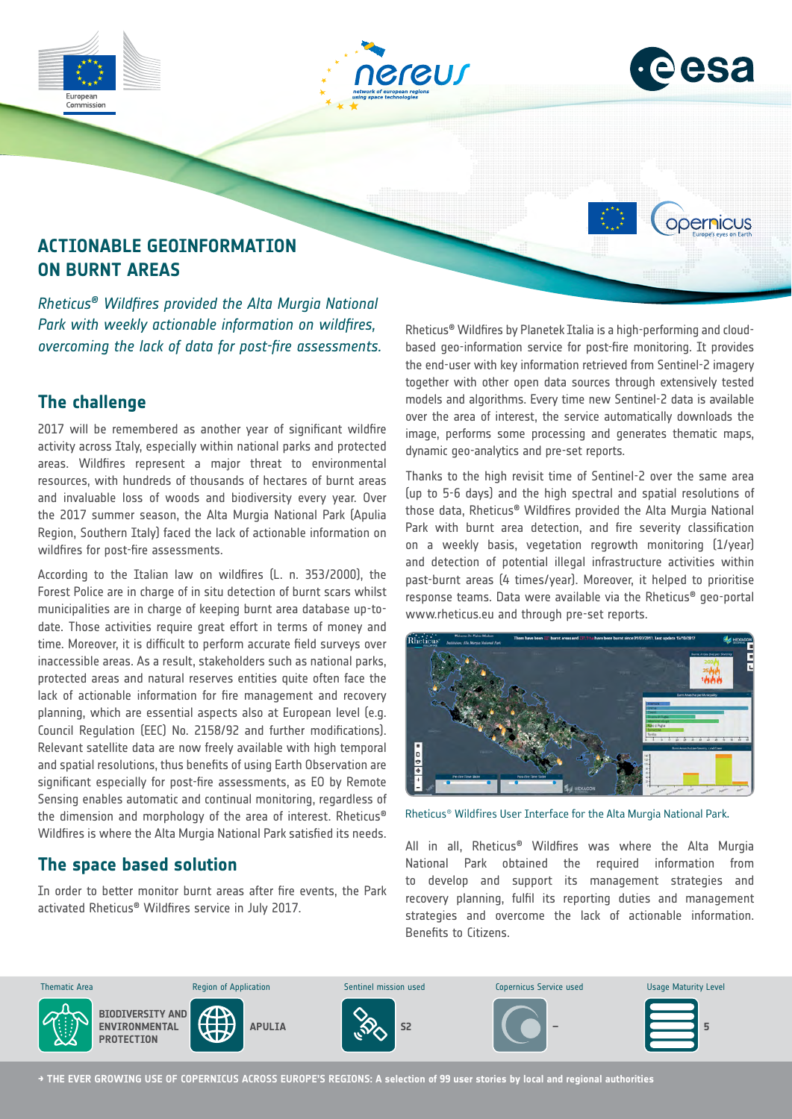



opernicus

# **ACTIONABLE GEOINFORMATION ON BURNT AREAS**

*Rheticus® Wildfires provided the Alta Murgia National Park with weekly actionable information on wildfires, overcoming the lack of data for post-fire assessments.* 

### **The challenge**

2017 will be remembered as another year of significant wildfire activity across Italy, especially within national parks and protected areas. Wildfires represent a major threat to environmental resources, with hundreds of thousands of hectares of burnt areas and invaluable loss of woods and biodiversity every year. Over the 2017 summer season, the Alta Murgia National Park (Apulia Region, Southern Italy) faced the lack of actionable information on wildfires for post-fire assessments.

According to the Italian law on wildfires (L. n. 353/2000), the Forest Police are in charge of in situ detection of burnt scars whilst municipalities are in charge of keeping burnt area database up-todate. Those activities require great effort in terms of money and time. Moreover, it is difficult to perform accurate field surveys over inaccessible areas. As a result, stakeholders such as national parks, protected areas and natural reserves entities quite often face the lack of actionable information for fire management and recovery planning, which are essential aspects also at European level (e.g. Council Regulation (EEC) No. 2158/92 and further modifications). Relevant satellite data are now freely available with high temporal and spatial resolutions, thus benefits of using Earth Observation are significant especially for post-fire assessments, as EO by Remote Sensing enables automatic and continual monitoring, regardless of the dimension and morphology of the area of interest. Rheticus® Wildfires is where the Alta Murgia National Park satisfied its needs.

## **The space based solution**

In order to better monitor burnt areas after fire events, the Park activated Rheticus® Wildfires service in July 2017.

Rheticus® Wildfires by Planetek Italia is a high-performing and cloudbased geo-information service for post-fire monitoring. It provides the end-user with key information retrieved from Sentinel-2 imagery together with other open data sources through extensively tested models and algorithms. Every time new Sentinel-2 data is available over the area of interest, the service automatically downloads the image, performs some processing and generates thematic maps, dynamic geo-analytics and pre-set reports.

Thanks to the high revisit time of Sentinel-2 over the same area (up to 5-6 days) and the high spectral and spatial resolutions of those data, Rheticus® Wildfires provided the Alta Murgia National Park with burnt area detection, and fire severity classification on a weekly basis, vegetation regrowth monitoring (1/year) and detection of potential illegal infrastructure activities within past-burnt areas (4 times/year). Moreover, it helped to prioritise response teams. Data were available via the Rheticus® geo-portal www.rheticus.eu and through pre-set reports.



Rheticus® Wildfires User Interface for the Alta Murgia National Park.

All in all, Rheticus® Wildfires was where the Alta Murgia National Park obtained the required information from to develop and support its management strategies and recovery planning, fulfil its reporting duties and management strategies and overcome the lack of actionable information. Benefits to Citizens.



**→ THE EVER GROWING USE OF COPERNICUS ACROSS EUROPE'S REGIONS: A selection of 99 user stories by local and regional authorities**